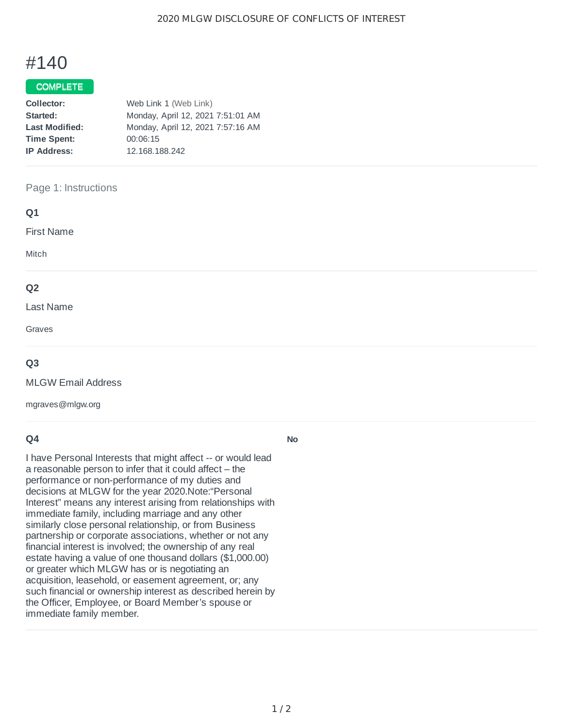# #140

### COMPLETE

| Collector:            | Web Link 1 (Web Link)             |
|-----------------------|-----------------------------------|
| Started:              | Monday, April 12, 2021 7:51:01 AM |
| <b>Last Modified:</b> | Monday, April 12, 2021 7:57:16 AM |
| <b>Time Spent:</b>    | 00:06:15                          |
| <b>IP Address:</b>    | 12.168.188.242                    |

#### Page 1: Instructions

| Q1                |  |  |
|-------------------|--|--|
| <b>First Name</b> |  |  |
| Mitch             |  |  |
| Q <sub>2</sub>    |  |  |
| Last Name         |  |  |
| Graves            |  |  |

#### **Q3**

MLGW Email Address

mgraves@mlgw.org

### **Q4**

I have Personal Interests that might affect -- or would lead a reasonable person to infer that it could affect – the performance or non-performance of my duties and decisions at MLGW for the year 2020.Note:"Personal Interest" means any interest arising from relationships with immediate family, including marriage and any other similarly close personal relationship, or from Business partnership or corporate associations, whether or not any financial interest is involved; the ownership of any real estate having a value of one thousand dollars (\$1,000.00) or greater which MLGW has or is negotiating an acquisition, leasehold, or easement agreement, or; any such financial or ownership interest as described herein by the Officer, Employee, or Board Member's spouse or immediate family member.

**No**